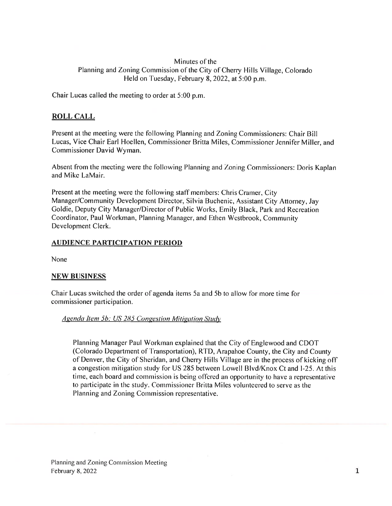### Minutes of the Planning and Zoning Commission of the City of Cherry Hills Village, Colorado Held on Tuesday, February 8, 2022, at 5:00 p.m.

Chair Lucas called the meeting to order at 5:00 p.m.

# ROLL CALL

Present at the meeting were the following Planning and Zoning Commissioners: Chair Bill Lucas. Vice Chair Earl Hoellen, Commissioner Britta Miles. Commissioner Jennifer Miller. and Commissioner David Wyman.

Absent from the meeting were the following Planning and Zoning Commissioners: Doris Kaplan and Mike LaMair.

Present at the meeting were the following staff members: Chris Cramer, City Manager/Community Development Director, Silvia Buchenic, Assistant City Attorney, Jay Goldie, Deputy City Manager/Director of Public Works, Emily Black. Park and Recreation Coordinator. Paul Workman. Planning Manager. and Ethen Westbrook, Community Development Clerk.

#### **AUDIENCE PARTICIPATION PERIOD**

None

#### NEW BIJSINESS

Chair Lucas switched the order of agenda items 5a and Sb to allow for more time for commissioner participation.

#### Agenda Item 5b: US 285 Congestion Mitigation Study

Planning Manager Paul Workman explained that the City of Englewood and CDOT (Colorado Department of Iransportation), R'FD. Arapahoe County, the City and County of Denver, the City of Sheridan. and Cherry Hills Village are in the process of kicking off <sup>a</sup> congestion mitigation study for US 285 between Lowell Blvd/Knox Ct and 1-25. At this time, each board and commission is being offered an opportunity to have a representative to participate in the study. Commissioner Britta Miles volunteered to serve as the Planning and Zoning Commission representative.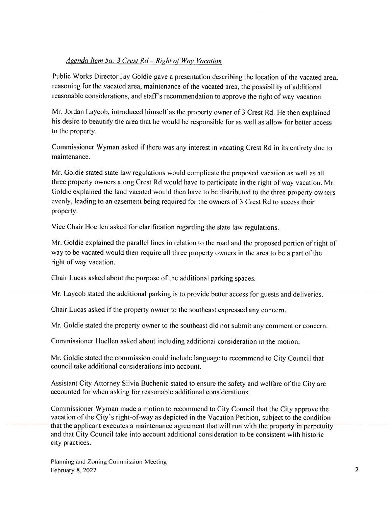## Agenda Item 5a: 3 Crest  $Rd - Right$  of Way Vacation

Public Works Director Jay Goldie gave <sup>a</sup> presentation describing the location of the vacated area. reasoning for the vacated area, maintenance of the vacated area, the possibility of additional reasonable considerations, and staff's recommendation to approve the right of way vacation.

Mr. Jordan Laycob, introduced himself as the property owner of 3 Crest Rd. He then explained his desire to beautify the area that he would be responsible for as well as allow for better access to the property.

Commissioner Wyman asked if there was any interest in vacating Crest Rd in its entirety due to maintenance.

Mr. Goldie stated state law regulations would complicate the propose<sup>d</sup> vacation as well as all three property owners along Crest Rd would have to participate in the right of way vacation. Mr. Goldie explained the land vacated would then have to be distributed to the three property owners evenly, leading to an easement being required for the owners of 3 Crest Rd to access their property.

Vice Chair Hoellen asked for clarification regarding the state law regulations.

Mr. Goldie explained the parallel lines in relation to the road and the propose<sup>d</sup> portion of right of way to be vacated would then require all three property owners in the area to be <sup>a</sup> par<sup>t</sup> of the right of way vacation.

Chair Lucas asked about the purpose of the additional parking spaces.

Mr. Laycob stated the additional parking is to provide better access for guests and deliveries.

Chair Lucas asked if the property owner to the southeast expresse<sup>d</sup> any concern.

Mr. Goldie stated the property owner to the southeast did not submit any comment or concern.

Commissioner Hoellen asked about including additional consideration in the motion.

Mr. Goldie stated the commission could include language to recommend to City Council that council take additional considerations into account.

Assistant City Attorney Silvia Buchenic stated to ensure the safety and welfare of the City are accounted for when asking for reasonable additional considerations.

Commissioner Wyman made <sup>a</sup> motion to recommend to City Council that the City approve the vacation of the City's right-of-way as depicted in the Vacation Petition, subject to the condition that the applicant executes a maintenance agreement that will run with the property in perpetuity and that City Council take into account additional consideration to be consistent with historic city practices.

Planning and Zoning Commission Meeting February 8, 2022  $\sim$  2